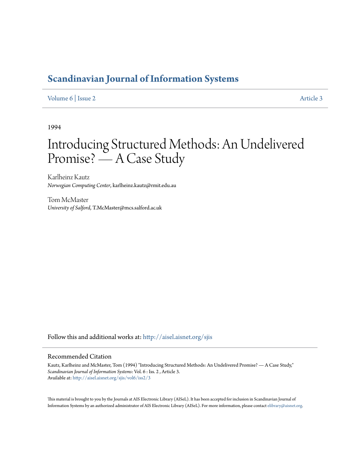# **[Scandinavian Journal of Information Systems](http://aisel.aisnet.org/sjis?utm_source=aisel.aisnet.org%2Fsjis%2Fvol6%2Fiss2%2F3&utm_medium=PDF&utm_campaign=PDFCoverPages)**

# [Volume 6](http://aisel.aisnet.org/sjis/vol6?utm_source=aisel.aisnet.org%2Fsjis%2Fvol6%2Fiss2%2F3&utm_medium=PDF&utm_campaign=PDFCoverPages) | [Issue 2](http://aisel.aisnet.org/sjis/vol6/iss2?utm_source=aisel.aisnet.org%2Fsjis%2Fvol6%2Fiss2%2F3&utm_medium=PDF&utm_campaign=PDFCoverPages) [Article 3](http://aisel.aisnet.org/sjis/vol6/iss2/3?utm_source=aisel.aisnet.org%2Fsjis%2Fvol6%2Fiss2%2F3&utm_medium=PDF&utm_campaign=PDFCoverPages)

1994

# Introducing Structured Methods: An Undelivered Promise? — A Case Study

Karlheinz Kautz *Norwegian Computing Center*, karlheinz.kautz@rmit.edu.au

Tom McMaster *University of Salford*, T.McMaster@mcs.salford.ac.uk

Follow this and additional works at: [http://aisel.aisnet.org/sjis](http://aisel.aisnet.org/sjis?utm_source=aisel.aisnet.org%2Fsjis%2Fvol6%2Fiss2%2F3&utm_medium=PDF&utm_campaign=PDFCoverPages)

# Recommended Citation

Kautz, Karlheinz and McMaster, Tom (1994) "Introducing Structured Methods: An Undelivered Promise? — A Case Study," *Scandinavian Journal of Information Systems*: Vol. 6 : Iss. 2 , Article 3. Available at: [http://aisel.aisnet.org/sjis/vol6/iss2/3](http://aisel.aisnet.org/sjis/vol6/iss2/3?utm_source=aisel.aisnet.org%2Fsjis%2Fvol6%2Fiss2%2F3&utm_medium=PDF&utm_campaign=PDFCoverPages)

This material is brought to you by the Journals at AIS Electronic Library (AISeL). It has been accepted for inclusion in Scandinavian Journal of Information Systems by an authorized administrator of AIS Electronic Library (AISeL). For more information, please contact [elibrary@aisnet.org.](mailto:elibrary@aisnet.org%3E)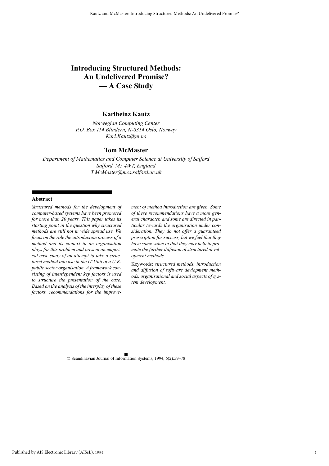# **Introducing Structured Methods: An Undelivered Promise? — A Case Study**

# **Karlheinz Kautz**

*Norwegian Computing Center P.O. Box 114 Blindern, N-0314 Oslo, Norway Karl.Kautz@nr.no*

## **Tom McMaster**

*Department of Mathematics and Computer Science at University of Salford Salford, M5 4WT, England T.McMaster@mcs.salford.ac.uk*

#### **Abstract**

*Structured methods for the development of computer-based systems have been promoted for more than 20 years. This paper takes its starting point in the question why structured methods are still not in wide spread use. We focus on the role the introduction process of a method and its context in an organisation plays for this problem and present an empirical case study of an attempt to take a structured method into use in the IT Unit of a U.K. public sector organisation. A framework consisting of interdependent key factors is used to structure the presentation of the case. Based on the analysis of the interplay of these factors, recommendations for the improve-* *ment of method introduction are given. Some of these recommendations have a more general character, and some are directed in particular towards the organisation under consideration. They do not offer a guaranteed prescription for success, but we feel that they have some value in that they may help to promote the further diffusion of structured development methods.*

Keywords: *structured methods, introduction and diffusion of software devlopment methods, organisational and social aspects of system development.*

© Scandinavian Journal of Information Systems, 1994, 6(2):59–78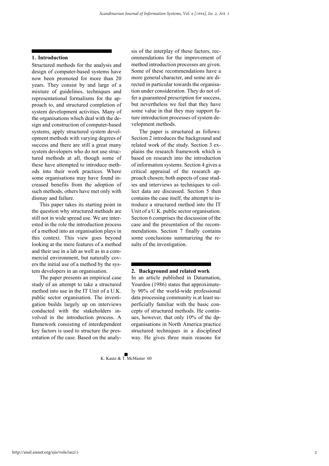#### **1. Introduction**

Structured methods for the analysis and design of computer-based systems have now been promoted for more than 20 years. They consist by and large of a mixture of guidelines, techniques and representational formalisms for the approach to, and structured completion of system development activities. Many of the organisations which deal with the design and construction of computer-based systems, apply structured system development methods with varying degrees of success and there are still a great many system developers who do not use structured methods at all, though some of these have attempted to introduce methods into their work practices. Where some organisations may have found increased benefits from the adoption of such methods, others have met only with dismay and failure.

This paper takes its starting point in the question why structured methods are still not in wide spread use. We are interested in the role the introduction process of a method into an organisation plays in this context. This view goes beyond looking at the mere features of a method and their use in a lab as well as in a commercial environment, but naturally covers the initial use of a method by the system developers in an organisation.

The paper presents an empirical case study of an attempt to take a structured method into use in the IT Unit of a U.K. public sector organisation. The investigation builds largely up on interviews conducted with the stakeholders involved in the introduction process. A framework consisting of interdependent key factors is used to structure the presentation of the case. Based on the analy-

sis of the interplay of these factors, recommendations for the improvement of method introduction processes are given. Some of these recommendations have a more general character, and some are directed in particular towards the organisation under consideration. They do not offer a guaranteed prescription for success, but nevertheless we feel that they have some value in that they may support future introduction processes of system development methods.

The paper is structured as follows: Section 2 introduces the background and related work of the study. Section 3 explains the research framework which is based on research into the introduction of information systems. Section 4 gives a critical appraisal of the research approach chosen; both aspects of case studies and interviews as techniques to collect data are discussed. Section 5 then contains the case itself, the attempt to introduce a structured method into the IT Unit of a U.K. public sector organisation. Section 6 comprises the discussion of the case and the presentation of the recommendations. Section 7 finally contains some conclusions summarizing the results of the investigation.

#### **2. Background and related work**

In an article published in Datamation, Yourdon (1986) states that approximately 90% of the world-wide professional data processing community is at least superficially familiar with the basic concepts of structured methods. He continues, however, that only 10% of the dporganisations in North America practice structured techniques in a disciplined way. He gives three main reasons for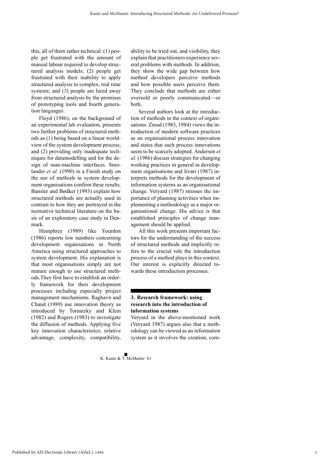this, all of them rather technical: (1) people get frustrated with the amount of manual labour required to develop structured analysis models; (2) people get frustrated with their inability to apply structured analysis to complex, real time systems; and (3) people are lured away from structured analysis by the promises of prototyping tools and fourth generation languages.

Floyd (1986), on the background of an experimental lab evaluation, presents two further problems of structured methods as (1) being based on a linear worldview of the system development process; and (2) providing only inadequate techniques for datamodelling and for the design of man-machine interfaces. Smolander *et al.* (1990) in a Finish study on the use of methods in system development organisations confirm these results. Bansler and Bødker (1993) explain how structured methods are actually used in contrast to how they are portrayed in the normative technical literature on the basis of an exploratory case study in Denmark.

Humphrey (1989) like Yourdon (1986) reports low numbers concerning development organisations in North America using structured approaches to system development. His explanation is that most organisations simply are not mature enough to use structured methods.They first have to establish an orderly framework for their development processes including especially project management mechanisms. Raghavn and Chand (1989) use innovation theory as introduced by Tornatzky and Klein (1982) and Rogers (1983) to investigate the diffusion of methods. Applying five key innovation characteristics; relative advantage, complexity, compatibility, ability to be tried out, and visibility, they explain that practitioners experience several problems with methods. In addition, they show the wide gap between how method developers perceive methods and how possible users perceive them. They conclude that methods are either oversold or poorly communicated—or both.

Several authors look at the introduction of methods in the context of organisations. Zmud (1983, 1984) views the introduction of modern software practices as an organisational process innovation and states that such process innovations seem to be scarcely adopted. Andersen *et al.* (1986) discuss strategies for changing working practices in general in development organisations and Iivari (1987) interprets methods for the development of information systems as an organisational change. Veryard (1987) stresses the importance of planning activities when implementing a methodology as a major organisational change. His advice is that established principles of change management should be applied.

All this work presents important factors for the understanding of the success of structured methods and implicitly refers to the crucial role the introduction process of a method plays in this context. Our interest is explicitly directed towards these introduction processes.

# **3. Research framework: using research into the introduction of information systems**

Veryard in the above-mentioned work (Veryard 1987) argues also that a methodology can be viewed as an information system as it involves the creation, com-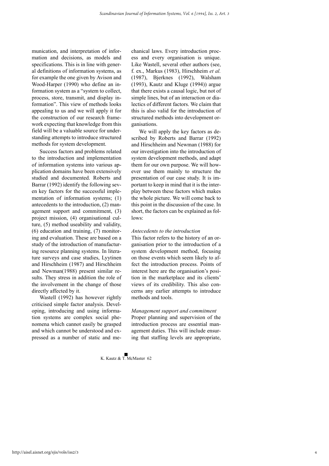munication, and interpretation of information and decisions, as models and specifications. This is in line with general definitions of information systems, as for example the one given by Avison and Wood-Harper (1990) who define an information system as a "system to collect, process, store, transmit, and display information". This view of methods looks appealing to us and we will apply it for the construction of our research framework expecting that knowledge from this field will be a valuable source for understanding attempts to introduce structured methods for system development.

Success factors and problems related to the introduction and implementation of information systems into various application domains have been extensively studied and documented. Roberts and Barrar (1992) identify the following seven key factors for the successful implementation of information systems; (1) antecedents to the introduction, (2) management support and commitment, (3) project mission, (4) organisational culture, (5) method useability and validity, (6) education and training, (7) monitoring and evaluation. These are based on a study of the introduction of manufacturing resource planning systems. In literature surveys and case studies, Lyytinen and Hirschheim (1987) and Hirschheim and Newman(1988) present similar results. They stress in addition the role of the involvement in the change of those directly affected by it.

Wastell (1992) has however rightly criticised simple factor analysis. Developing, introducing and using information systems are complex social phenomena which cannot easily be grasped and which cannot be understood and expressed as a number of static and mechanical laws. Every introduction process and every organisation is unique. Like Wastell, several other authors (see, f. ex., Markus (1983), Hirschheim *et al.* (1987), Bjerknes (1992), Walsham (1993), Kautz and Kluge (1994)) argue that there exists a causal logic, but not of simple lines, but of an interaction or dialectics of different factors. We claim that this is also valid for the introduction of structured methods into development organisations.

We will apply the key factors as described by Roberts and Barrar (1992) and Hirschheim and Newman (1988) for our investigation into the introduction of system development methods, and adapt them for our own purpose. We will however use them mainly to structure the presentation of our case study. It is important to keep in mind that it is the interplay between these factors which makes the whole picture. We will come back to this point in the discussion of the case. In short, the factors can be explained as fol $l$ ows:

#### *Antecedents to the introduction*

This factor refers to the history of an organisation prior to the introduction of a system development method, focusing on those events which seem likely to affect the introduction process. Points of interest here are the organisation's position in the marketplace and its clients' views of its credibility. This also concerns any earlier attempts to introduce methods and tools.

*Management support and commitment* Proper planning and supervision of the introduction process are essential management duties. This will include ensuring that staffing levels are appropriate,

4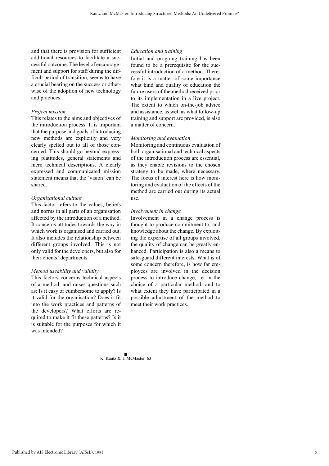and that there is provision for sufficient additional resources to facilitate a successful outcome. The level of encouragement and support for staff during the difficult period of transition, seems to have a crucial bearing on the success or otherwise of the adoption of new technology and practices.

#### *Project mission*

This relates to the aims and objectives of the introduction process. It is important that the purpose and goals of introducing new methods are explicitly and very clearly spelled out to all of those concerned. This should go beyond expressing platitudes, general statements and mere technical descriptions. A clearly expressed and communicated mission statement means that the 'vision' can be shared.

### *Organisational culture*

This factor refers to the values, beliefs and norms in all parts of an organisation affected by the introduction of a method. It concerns attitudes towards the way in which work is organised and carried out. It also includes the relationship between different groups involved. This is not only valid for the developers, but also for their clients' departments.

#### *Method useability and validity*

This factors concerns technical aspects of a method, and raises questions such as: Is it easy or cumbersome to apply? Is it valid for the organisation? Does it fit into the work practices and patterns of the developers? What efforts are required to make it fit these patterns? Is it is suitable for the purposes for which it was intended?

#### *Education and training*

Initial and on-going training has been found to be a prerequisite for the successful introduction of a method. Therefore it is a matter of some importance what kind and quality of education the future users of the method received prior to its implementation in a live project. The extent to which on-the-job advice and assistance, as well as what follow-up training and support are provided, is also a matter of concern.

#### *Monitoring and evaluation*

Monitoring and continuous evaluation of both organisational and technical aspects of the introduction process are essential, as they enable revisions to the chosen strategy to be made, where necessary. The focus of interest here is how monitoring and evaluation of the effects of the method are carried out during its actual use.

#### *Involvement in change*

Involvement in a change process is thought to produce commitment to, and knowledge about the change. By exploiting the expertise of all groups involved, the quality of change can be greatly enhanced. Participation is also a means to safe-guard different interests. What is of some concern therefore, is how far employees are involved in the decision process to introduce change, i.e. in the choice of a particular method, and to what extent they have participated in a possible adjustment of the method to meet their work practices.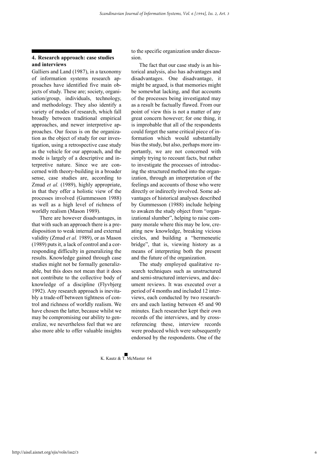## **4. Research approach: case studies and interviews**

Galliers and Land (1987), in a taxonomy of information systems research approaches have identified five main objects of study. These are; society, organisation/group, individuals, technology, and methodology. They also identify a variety of modes of research, which fall broadly between traditional empirical approaches, and newer interpretive approaches. Our focus is on the organization as the object of study for our investigation, using a retrospective case study as the vehicle for our approach, and the mode is largely of a descriptive and interpretive nature. Since we are concerned with theory-building in a broader sense, case studies are, according to Zmud *et al.* (1989), highly appropriate, in that they offer a holistic view of the processes involved (Gummesson 1988) as well as a high level of richness of worldly realism (Mason 1989).

There are however disadvantages, in that with such an approach there is a predisposition to weak internal and external validity (Zmud *et al.* 1989), or as Mason (1989) puts it, a lack of control and a corresponding difficulty in generalizing the results. Knowledge gained through case studies might not be formally generalizable, but this does not mean that it does not contribute to the collective body of knowledge of a discipline (Flyvbjerg 1992). Any research approach is inevitably a trade-off between tightness of control and richness of worldly realism. We have chosen the latter, because whilst we may be compromising our ability to generalize, we nevertheless feel that we are also more able to offer valuable insights

to the specific organization under discussion.

The fact that our case study is an historical analysis, also has advantages and disadvantages. One disadvantage, it might be argued, is that memories might be somewhat lacking, and that accounts of the processes being investigated may as a result be factually flawed. From our point of view this is not a matter of any great concern however; for one thing, it is improbable that all of the respondents could forget the same critical piece of information which would substantially bias the study, but also, perhaps more importantly, we are not concerned with simply trying to recount facts, but rather to investigate the processes of introducing the structured method into the organization, through an interpretation of the feelings and accounts of those who were directly or indirectly involved. Some advantages of historical analyses described by Gummesson (1988) include helping to awaken the study object from "organizational slumber", helping to raise company morale where this may be low, creating new knowledge, breaking vicious circles, and building a "hermeneutic bridge", that is, viewing history as a means of interpreting both the present and the future of the organization.

The study employed qualitative research techniques such as unstructured and semi-structured interviews, and document reviews. It was executed over a period of 4 months and included 12 interviews, each conducted by two researchers and each lasting between 45 and 90 minutes. Each researcher kept their own records of the interviews, and by crossreferencing these, interview records were produced which were subsequently endorsed by the respondents. One of the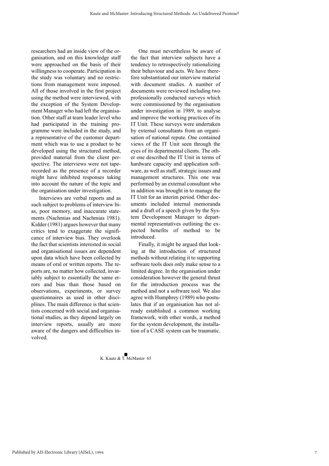researchers had an inside view of the organisation, and on this knowledge staff were approached on the basis of their willingness to cooperate. Participation in the study was voluntary and no restrictions from management were imposed. All of those involved in the first project using the method were interviewed, with the exception of the System Development Manager who had left the organisation. Other staff at team leader level who had participated in the training programme were included in the study, and a representative of the customer department which was to use a product to be developed using the structured method, provided material from the client perspective. The interviews were not taperecorded as the presence of a recorder might have inhibited responses taking into account the nature of the topic and the organisation under investigation.

Interviews are verbal reports and as such subject to problems of interview bias, poor memory, and inaccurate statements (Nachmias and Nachmias 1981). Kidder (1981) argues however that many critics tend to exaggerate the significance of interview bias. They overlook the fact that scientists interested in social and organisational issues are dependent upon data which have been collected by means of oral or written reports. The reports are, no matter how collected, invariably subject to essentially the same errors and bias than those based on observations, experiments, or survey questionnaires as used in other disciplines. The main difference is that scientists concerned with social and organisational studies, as they depend largely on interview reports, usually are more aware of the dangers and difficulties involved.

One must nevertheless be aware of the fact that interview subjects have a tendency to retrospectively rationalizing their behaviour and acts. We have therefore substantiated our interview material with document studies. A number of documents were reviewed including two professionally conducted surveys which were commissioned by the organisation under investigation in 1989, to analyse and improve the working practices of its IT Unit. These surveys were undertaken by external consultants from an organisation of national repute. One contained views of the IT Unit seen through the eyes of its departmental clients. The other one described the IT Unit in terms of hardware capacity and application software, as well as staff, strategic issues and management structures. This one was performed by an external consultant who in addition was brought in to manage the IT Unit for an interim period. Other documents included internal memoranda and a draft of a speech given by the System Development Manager to departmental representatives outlining the expected benefits of method to be introduced.

Finally, it might be argued that looking at the introduction of structured methods without relating it to supporting software tools does only make sense to a limited degree. In the organisation under consideration however the general thrust for the introduction process was the method and not a software tool. We also agree with Humphrey (1989) who postulates that if an organisation has not already established a common working framework, with other words, a method for the system development, the installation of a CASE system can be traumatic.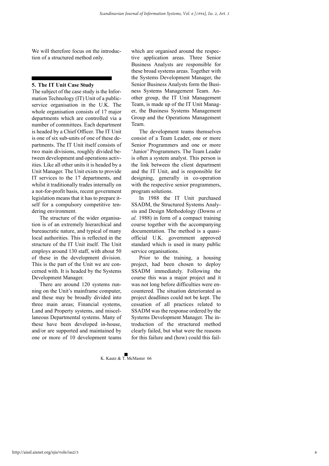We will therefore focus on the introduction of a structured method only.

#### **5. The IT Unit Case Study**

The subject of the case study is the Information Technology (IT) Unit of a publicservice organisation in the U.K. The whole organisation consists of 17 major departments which are controlled via a number of committees. Each department is headed by a Chief Officer. The IT Unit is one of six sub-units of one of these departments. The IT Unit itself consists of two main divisions, roughly divided between development and operations activities. Like all other units it is headed by a Unit Manager. The Unit exists to provide IT services to the 17 departments, and whilst it traditionally trades internally on a not-for-profit basis, recent government legislation means that it has to prepare itself for a compulsory competitive tendering environment.

The structure of the wider organisation is of an extremely hierarchical and bureaucratic nature, and typical of many local authorities. This is reflected in the structure of the IT Unit itself. The Unit employs around 130 staff, with about 50 of these in the development division. This is the part of the Unit we are concerned with. It is headed by the Systems Development Manager.

There are around 120 systems running on the Unit's mainframe computer, and these may be broadly divided into three main areas; Financial systems, Land and Property systems, and miscellaneous Departmental systems. Many of these have been developed in-house, and/or are supported and maintained by one or more of 10 development teams

which are organised around the respective application areas. Three Senior Business Analysts are responsible for these broad systems areas. Together with the Systems Development Manager, the Senior Business Analysts form the Business Systems Management Team. Another group, the IT Unit Management Team, is made up of the IT Unit Manager, the Business Systems Management Group and the Operations Management Team.

The development teams themselves consist of a Team Leader, one or more Senior Programmers and one or more 'Junior' Programmers. The Team Leader is often a system analyst. This person is the link between the client department and the IT Unit, and is responsible for designing, generally in co-operation with the respective senior programmers, program solutions.

In 1988 the IT Unit purchased SSADM, the Structured Systems Analysis and Design Methodology (Downs *et al.* 1988) in form of a compact training course together with the accompanying documentation. The method is a quasiofficial U.K. government approved standard which is used in many public service organisations.

Prior to the training, a housing project, had been chosen to deploy SSADM immediately. Following the course this was a major project and it was not long before difficulties were encountered. The situation deteriorated as project deadlines could not be kept. The cessation of all practices related to SSADM was the response ordered by the Systems Development Manager. The introduction of the structured method clearly failed, but what were the reasons for this failure and (how) could this fail-

8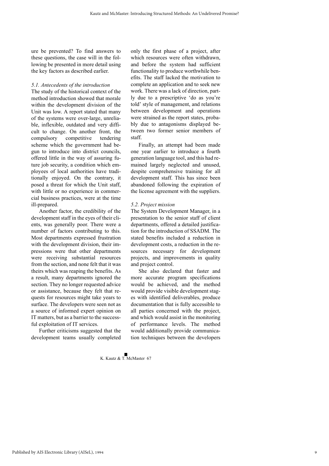ure be prevented? To find answers to these questions, the case will in the following be presented in more detail using the key factors as described earlier.

#### *5.1. Antecedents of the introduction*

The study of the historical context of the method introduction showed that morale within the development division of the Unit was low. A report stated that many of the systems were over-large, unreliable, inflexible, outdated and very difficult to change. On another front, the compulsory competitive tendering scheme which the government had begun to introduce into district councils, offered little in the way of assuring future job security, a condition which employees of local authorities have traditionally enjoyed. On the contrary, it posed a threat for which the Unit staff, with little or no experience in commercial business practices, were at the time ill-prepared.

Another factor, the credibility of the development staff in the eyes of their clients, was generally poor. There were a number of factors contributing to this. Most departments expressed frustration with the development division, their impressions were that other departments were receiving substantial resources from the section, and none felt that it was theirs which was reaping the benefits. As a result, many departments ignored the section. They no longer requested advice or assistance, because they felt that requests for resources might take years to surface. The developers were seen not as a source of informed expert opinion on IT matters, but as a barrier to the successful exploitation of IT services.

Further criticisms suggested that the development teams usually completed

**K. Kautz & T. McMaster 67** 

only the first phase of a project, after which resources were often withdrawn, and before the system had sufficient functionality to produce worthwhile benefits. The staff lacked the motivation to complete an application and to seek new work. There was a lack of direction, partly due to a prescriptive 'do as you're told' style of management, and relations between development and operations were strained as the report states, probably due to antagonisms displayed between two former senior members of staff.

Finally, an attempt had been made one year earlier to introduce a fourth generation language tool, and this had remained largely neglected and unused, despite comprehensive training for all development staff. This has since been abandoned following the expiration of the license agreement with the suppliers.

#### *5.2. Project mission*

The System Development Manager, in a presentation to the senior staff of client departments, offered a detailed justification for the introduction of SSADM. The stated benefits included a reduction in development costs, a reduction in the resources necessary for development projects, and improvements in quality and project control.

She also declared that faster and more accurate program specifications would be achieved, and the method would provide visible development stages with identified deliverables, produce documentation that is fully accessible to all parties concerned with the project, and which would assist in the monitoring of performance levels. The method would additionally provide communication techniques between the developers

Published by AIS Electronic Library (AISeL), 1994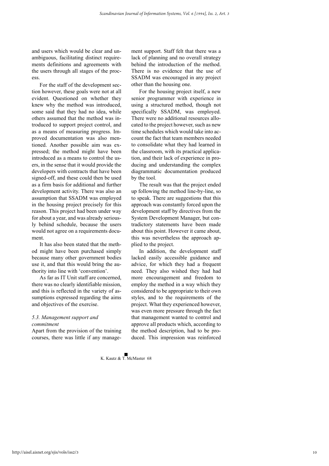and users which would be clear and unambiguous, facilitating distinct requirements definitions and agreements with the users through all stages of the process.

For the staff of the development section however, these goals were not at all evident. Questioned on whether they knew why the method was introduced, some said that they had no idea, while others assumed that the method was introduced to support project control, and as a means of measuring progress. Improved documentation was also mentioned. Another possible aim was expressed; the method might have been introduced as a means to control the users, in the sense that it would provide the developers with contracts that have been signed-off, and these could then be used as a firm basis for additional and further development activity. There was also an assumption that SSADM was employed in the housing project precisely for this reason. This project had been under way for about a year, and was already seriously behind schedule, because the users would not agree on a requirements document.

It has also been stated that the method might have been purchased simply because many other government bodies use it, and that this would bring the authority into line with 'convention'.

As far as IT Unit staff are concerned, there was no clearly identifiable mission, and this is reflected in the variety of assumptions expressed regarding the aims and objectives of the exercise.

#### *5.3. Management support and commitment*

Apart from the provision of the training courses, there was little if any manage-

ment support. Staff felt that there was a lack of planning and no overall strategy behind the introduction of the method. There is no evidence that the use of SSADM was encouraged in any project other than the housing one.

For the housing project itself, a new senior programmer with experience in using a structured method, though not specifically SSADM, was employed. There were no additional resources allocated to the project however, such as new time schedules which would take into account the fact that team members needed to consolidate what they had learned in the classroom, with its practical application, and their lack of experience in producing and understanding the complex diagrammatic documentation produced by the tool.

The result was that the project ended up following the method line-by-line, so to speak. There are suggestions that this approach was constantly forced upon the development staff by directives from the System Development Manager, but contradictory statements have been made about this point. However it came about, this was nevertheless the approach applied to the project.

In addition, the development staff lacked easily accessible guidance and advice, for which they had a frequent need. They also wished they had had more encouragement and freedom to employ the method in a way which they considered to be appropriate to their own styles, and to the requirements of the project. What they experienced however, was even more pressure through the fact that management wanted to control and approve all products which, according to the method description, had to be produced. This impression was reinforced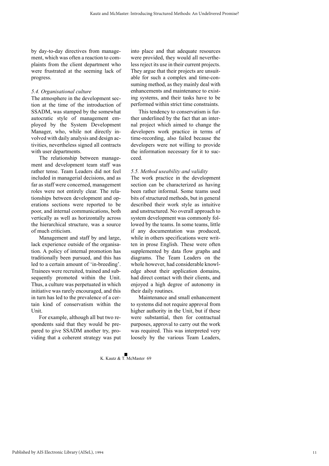by day-to-day directives from management, which was often a reaction to complaints from the client department who were frustrated at the seeming lack of progress.

#### *5.4. Organisational culture*

The atmosphere in the development section at the time of the introduction of SSADM, was stamped by the somewhat autocratic style of management employed by the System Development Manager, who, while not directly involved with daily analysis and design activities, nevertheless signed all contracts with user departments.

The relationship between management and development team staff was rather tense. Team Leaders did not feel included in managerial decisions, and as far as staff were concerned, management roles were not entirely clear. The relationships between development and operations sections were reported to be poor, and internal communications, both vertically as well as horizontally across the hierarchical structure, was a source of much criticism.

Management and staff by and large, lack experience outside of the organisation. A policy of internal promotion has traditionally been pursued, and this has led to a certain amount of 'in-breeding'. Trainees were recruited, trained and subsequently promoted within the Unit. Thus, a culture was perpetuated in which initiative was rarely encouraged, and this in turn has led to the prevalence of a certain kind of conservatism within the Unit.

For example, although all but two respondents said that they would be prepared to give SSADM another try, providing that a coherent strategy was put into place and that adequate resources were provided, they would all nevertheless reject its use in their current projects. They argue that their projects are unsuitable for such a complex and time-consuming method, as they mainly deal with enhancements and maintenance to existing systems, and their tasks have to be performed within strict time constraints.

This tendency to conservatism is further underlined by the fact that an internal project which aimed to change the developers work practice in terms of time-recording, also failed because the developers were not willing to provide the information necessary for it to succeed.

#### *5.5. Method useability and validity*

The work practice in the development section can be characterized as having been rather informal. Some teams used bits of structured methods, but in general described their work style as intuitive and unstructured. No overall approach to system development was commonly followed by the teams. In some teams, little if any documentation was produced, while in others specifications were written in prose English. These were often supplemented by data flow graphs and diagrams. The Team Leaders on the whole however, had considerable knowledge about their application domains, had direct contact with their clients, and enjoyed a high degree of autonomy in their daily routines.

Maintenance and small enhancement to systems did not require approval from higher authority in the Unit, but if these were substantial, then for contractual purposes, approval to carry out the work was required. This was interpreted very loosely by the various Team Leaders,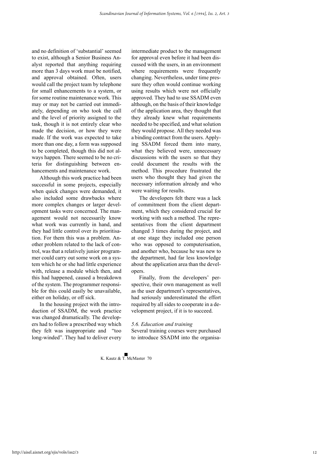and no definition of 'substantial' seemed to exist, although a Senior Business Analyst reported that anything requiring more than 3 days work must be notified, and approval obtained. Often, users would call the project team by telephone for small enhancements to a system, or for some routine maintenance work. This may or may not be carried out immediately, depending on who took the call and the level of priority assigned to the task, though it is not entirely clear who made the decision, or how they were made. If the work was expected to take more than one day, a form was supposed to be completed, though this did not always happen. There seemed to be no criteria for distinguishing between enhancements and maintenance work.

Although this work practice had been successful in some projects, especially when quick changes were demanded, it also included some drawbacks where more complex changes or larger development tasks were concerned. The management would not necessarily know what work was currently in hand, and they had little control over its prioritisation. For them this was a problem. Another problem related to the lack of control, was that a relatively junior programmer could carry out some work on a system which he or she had little experience with, release a module which then, and this had happened, caused a breakdown of the system. The programmer responsible for this could easily be unavailable, either on holiday, or off sick.

In the housing project with the introduction of SSADM, the work practice was changed dramatically. The developers had to follow a prescribed way which they felt was inappropriate and "too long-winded". They had to deliver every

intermediate product to the management for approval even before it had been discussed with the users, in an environment where requirements were frequently changing. Nevertheless, under time pressure they often would continue working using results which were not officially approved. They had to use SSADM even although, on the basis of their knowledge of the application area, they thought that they already knew what requirements needed to be specified, and what solution they would propose. All they needed was a binding contract from the users. Applying SSADM forced them into many, what they believed were, unnecessary discussions with the users so that they could document the results with the method. This procedure frustrated the users who thought they had given the necessary information already and who were waiting for results.

The developers felt there was a lack of commitment from the client department, which they considered crucial for working with such a method. The representatives from the client department changed 3 times during the project, and at one stage they included one person who was opposed to computerisation, and another who, because he was new to the department, had far less knowledge about the application area than the developers.

Finally, from the developers' perspective, their own management as well as the user department's representatives, had seriously underestimated the effort required by all sides to cooperate in a development project, if it is to succeed.

#### *5.6. Education and training*

 $K$  Kautz  $\&$  T. McMaster 70

Several training courses were purchased to introduce SSADM into the organisa-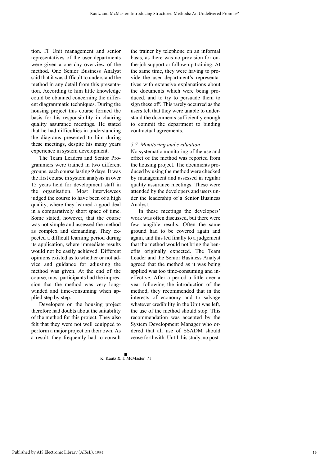tion. IT Unit management and senior representatives of the user departments were given a one day overview of the method. One Senior Business Analyst said that it was difficult to understand the method in any detail from this presentation. According to him little knowledge could be obtained concerning the different diagrammatic techniques. During the housing project this course formed the basis for his responsibility in chairing quality assurance meetings. He stated that he had difficulties in understanding the diagrams presented to him during these meetings, despite his many years experience in system development.

The Team Leaders and Senior Programmers were trained in two different groups, each course lasting 9 days. It was the first course in system analysis in over 15 years held for development staff in the organisation. Most interviewees judged the course to have been of a high quality, where they learned a good deal in a comparatively short space of time. Some stated, however, that the course was not simple and assessed the method as complex and demanding. They expected a difficult learning period during its application, where immediate results would not be easily achieved. Different opinions existed as to whether or not advice and guidance for adjusting the method was given. At the end of the course, most participants had the impression that the method was very longwinded and time-consuming when applied step by step.

Developers on the housing project therefore had doubts about the suitability of the method for this project. They also felt that they were not well equipped to perform a major project on their own. As a result, they frequently had to consult the trainer by telephone on an informal basis, as there was no provision for onthe-job support or follow-up training. At the same time, they were having to provide the user department's representatives with extensive explanations about the documents which were being produced, and to try to persuade them to sign these off. This rarely occurred as the users felt that they were unable to understand the documents sufficiently enough to commit the department to binding contractual agreements.

#### *5.7. Monitoring and evaluation*

No systematic monitoring of the use and effect of the method was reported from the housing project. The documents produced by using the method were checked by management and assessed in regular quality assurance meetings. These were attended by the developers and users under the leadership of a Senior Business Analyst.

In these meetings the developers' work was often discussed, but there were few tangible results. Often the same ground had to be covered again and again, and this led finally to a judgement that the method would not bring the benefits originally expected. The Team Leader and the Senior Business Analyst agreed that the method as it was being applied was too time-consuming and ineffective. After a period a little over a year following the introduction of the method, they recommended that in the interests of economy and to salvage whatever credibility in the Unit was left, the use of the method should stop. This recommendation was accepted by the System Development Manager who ordered that all use of SSADM should cease forthwith. Until this study, no post-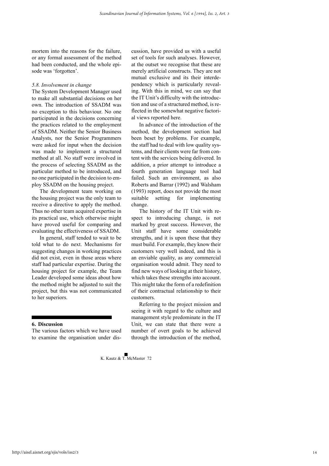mortem into the reasons for the failure, or any formal assessment of the method had been conducted, and the whole episode was 'forgotten'.

#### *5.8. Involvement in change*

The System Development Manager used to make all substantial decisions on her own. The introduction of SSADM was no exception to this behaviour. No one participated in the decisions concerning the practices related to the employment of SSADM. Neither the Senior Business Analysts, nor the Senior Programmers were asked for input when the decision was made to implement a structured method at all. No staff were involved in the process of selecting SSADM as the particular method to be introduced, and no one participated in the decision to employ SSADM on the housing project.

The development team working on the housing project was the only team to receive a directive to apply the method. Thus no other team acquired expertise in its practical use, which otherwise might have proved useful for comparing and evaluating the effectiveness of SSADM.

In general, staff tended to wait to be told what to do next. Mechanisms for suggesting changes in working practices did not exist, even in those areas where staff had particular expertise. During the housing project for example, the Team Leader developed some ideas about how the method might be adjusted to suit the project, but this was not communicated to her superiors.

#### **6. Discussion**

The various factors which we have used to examine the organisation under dis-

cussion, have provided us with a useful set of tools for such analyses. However, at the outset we recognise that these are merely artificial constructs. They are not mutual exclusive and its their interdependency which is particularly revealing. With this in mind, we can say that the IT Unit's difficulty with the introduction and use of a structured method, is reflected in the somewhat negative factorial views reported here.

In advance of the introduction of the method, the development section had been beset by problems. For example, the staff had to deal with low quality systems, and their clients were far from content with the services being delivered. In addition, a prior attempt to introduce a fourth generation language tool had failed. Such an environment, as also Roberts and Barrar (1992) and Walsham (1993) report, does not provide the most suitable setting for implementing change.

The history of the IT Unit with respect to introducing change, is not marked by great success. However, the Unit staff have some considerable strengths, and it is upon these that they must build. For example, they know their customers very well indeed, and this is an enviable quality, as any commercial organisation would admit. They need to find new ways of looking at their history, which takes these strengths into account. This might take the form of a redefinition of their contractual relationship to their customers.

Referring to the project mission and seeing it with regard to the culture and management style predominate in the IT Unit, we can state that there were a number of overt goals to be achieved through the introduction of the method,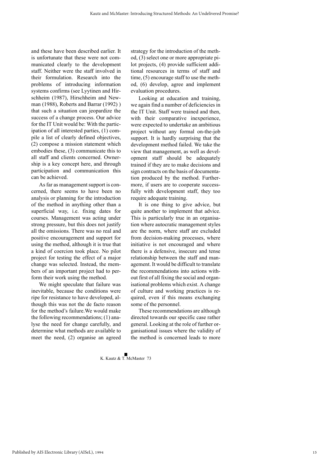and these have been described earlier. It is unfortunate that these were not communicated clearly to the development staff. Neither were the staff involved in their formulation. Research into the problems of introducing information systems confirms (see Lyytinen and Hirschheim (1987), Hirschheim and Newman (1988), Roberts and Barrar (1992) ) that such a situation can jeopardize the success of a change process. Our advice for the IT Unit would be: With the participation of all interested parties, (1) compile a list of clearly defined objectives, (2) compose a mission statement which embodies these, (3) communicate this to all staff and clients concerned. Ownership is a key concept here, and through participation and communication this can be achieved.

As far as management support is concerned, there seems to have been no analysis or planning for the introduction of the method in anything other than a superficial way, i.e. fixing dates for courses. Management was acting under strong pressure, but this does not justify all the omissions. There was no real and positive encouragement and support for using the method, although it is true that a kind of coercion took place. No pilot project for testing the effect of a major change was selected. Instead, the members of an important project had to perform their work using the method.

We might speculate that failure was inevitable, because the conditions were ripe for resistance to have developed, although this was not the de facto reason for the method's failure.We would make the following recommendations; (1) analyse the need for change carefully, and determine what methods are available to meet the need, (2) organise an agreed

strategy for the introduction of the method, (3) select one or more appropriate pilot projects, (4) provide sufficient additional resources in terms of staff and time, (5) encourage staff to use the method, (6) develop, agree and implement evaluation procedures.

Looking at education and training, we again find a number of deficiencies in the IT Unit. Staff were trained and then, with their comparative inexperience, were expected to undertake an ambitious project without any formal on-the-job support. It is hardly surprising that the development method failed. We take the view that management, as well as development staff should be adequately trained if they are to make decisions and sign contracts on the basis of documentation produced by the method. Furthermore, if users are to cooperate successfully with development staff, they too require adequate training.

It is one thing to give advice, but quite another to implement that advice. This is particularly true in an organisation where autocratic management styles are the norm, where staff are excluded from decision-making processes, where initiative is not encouraged and where there is a defensive, insecure and tense relationship between the staff and management. It would be difficult to translate the recommendations into actions without first of all fixing the social and organisational problems which exist. A change of culture and working practices is required, even if this means exchanging some of the personnel.

These recommendations are although directed towards our specific case rather general. Looking at the role of further organisational issues where the validity of the method is concerned leads to more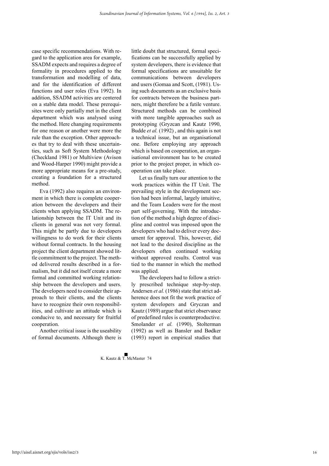case specific recommendations. With regard to the application area for example, SSADM expects and requires a degree of formality in procedures applied to the transformation and modelling of data, and for the identification of different functions and user roles (Eva 1992). In addition, SSADM activities are centered on a stable data model. These prerequisites were only partially met in the client department which was analysed using the method. Here changing requirements for one reason or another were more the rule than the exception. Other approaches that try to deal with these uncertainties, such as Soft System Methodology (Checkland 1981) or Multiview (Avison and Wood-Harper 1990) might provide a more appropriate means for a pre-study, creating a foundation for a structured method.

Eva (1992) also requires an environment in which there is complete cooperation between the developers and their clients when applying SSADM. The relationship between the IT Unit and its clients in general was not very formal. This might be partly due to developers willingness to do work for their clients without formal contracts. In the housing project the client department showed little commitment to the project. The method delivered results described in a formalism, but it did not itself create a more formal and committed working relationship between the developers and users. The developers need to consider their approach to their clients, and the clients have to recognize their own responsibilities, and cultivate an attitude which is conducive to, and necessary for fruitful cooperation.

Another critical issue is the useability of formal documents. Although there is

little doubt that structured, formal specifications can be successfully applied by system developers, there is evidence that formal specifications are unsuitable for communications between developers and users (Gomaa and Scott, (1981). Using such documents as an exclusive basis for contracts between the business partners, might therefore be a futile venture. Structured methods can be combined with more tangible approaches such as prototyping (Gryzcan and Kautz 1990, Budde *et al.* (1992) , and this again is not a technical issue, but an organisational one. Before employing any approach which is based on cooperation, an organisational environment has to be created prior to the project proper, in which cooperation can take place.

Let us finally turn our attention to the work practices within the IT Unit. The prevailing style in the development section had been informal, largely intuitive, and the Team Leaders were for the most part self-governing. With the introduction of the method a high degree of discipline and control was imposed upon the developers who had to deliver every document for approval. This, however, did not lead to the desired discipline as the developers often continued working without approved results. Control was tied to the manner in which the method was applied.

The developers had to follow a strictly prescribed technique step-by-step. Andersen *et al.* (1986) state that strict adherence does not fit the work practice of system developers and Gryczan and Kautz (1989) argue that strict observance of predefined rules is counterproductive. Smolander *et al.* (1990), Stolterman (1992) as well as Bansler and Bødker (1993) report in empirical studies that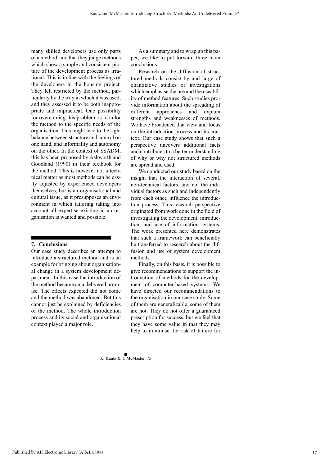many skilled developers use only parts of a method, and that they judge methods which show a simple and consistent picture of the development process as irrational. This is in line with the feelings of the developers in the housing project. They felt restricted by the method, particularly by the way in which it was used, and they assessed it to be both inappropriate and impractical. One possibility for overcoming this problem, is to tailor the method to the specific needs of the organisation. This might lead to the right balance between structure and control on one hand, and informality and autonomy on the other. In the context of SSADM, this has been proposed by Ashworth and Goodland (1990) in their textbook for the method. This is however not a technical matter as most methods can be easily adjusted by experienced developers themselves, but is an organisational and cultural issue, as it presupposes an environment in which tailoring taking into account all expertise existing in an organisation is wanted and possible.

#### **7. Conclusions**

Our case study describes an attempt to introduce a structured method and is an example for bringing about organisational change in a system development department. In this case the introduction of the method became an u delivered promise. The effects expected did not come and the method was abandoned. But this cannot just be explained by deficiencies of the method. The whole introduction process and its social and organisational context played a major role.

As a summary and to wrap up this paper, we like to put forward three main conclusions.

Research on the diffusion of structured methods consist by and large of quantitative studies or investigations which emphasise the use and the useability of method features. Such studies provide information about the spreading of different approaches and explain strengths and weaknesses of methods. We have broadened that view and focus on the introduction process and its context. Our case study shows that such a perspective uncovers additional facts and contributes to a better understanding of why or why not structured methods are spread and used.

We conducted our study based on the insight that the interaction of several, non-technical factors, and not the individual factors as such and independently from each other, influence the introduction process. This research perspective originated from work done in the field of investigating the development, introduction, and use of information systems. The work presented here demonstrates that such a framework can beneficially be transferred to research about the diffusion and use of system development methods.

Finally, on this basis, it is possible to give recommendations to support the introduction of methods for the development of computer-based systems. We have directed our recommendations to the organisation in our case study. Some of them are generalizable, some of them are not. They do not offer a guaranteed prescription for success, but we feel that they have some value in that they may help to minimise the risk of failure for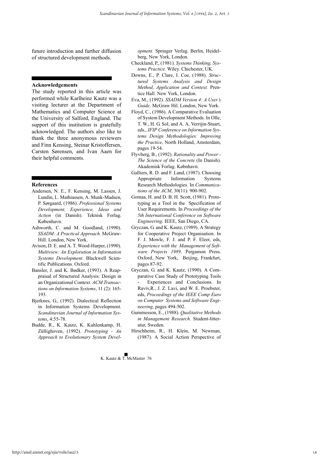future introduction and further diffusion of structured development methods.

#### **Acknowledgements**

The study reported in this article was performed while Karlheinz Kautz was a visiting lecturer at the Department of Mathematics and Computer Science at the University of Salford, England. The support of this institution is gratefully acknowledged. The authors also like to thank the three anonymous reviewers and Finn Kensing, Steinar Kristoffersen, Carsten Sørensen, and Ivan Aaen for their helpful comments.

#### **References**

- Andersen, N. E., F. Kensing, M. Lassen, J. Lundin, L. Mathiassen, A. Munk-Madsen, P. Sørgaard, (1986). *Professional Systems Development, Experience, Ideas and Action* (in Danish). Teknisk Forlag. København.
- Ashworth, C. and M. Goodland, (1990). *SSADM: A Practical Approach.* McGraw-Hill. London, New York.
- Avison, D. E. and A. T. Wood-Harper, (1990). *Multiview: An Exploration in Information Systems Development.* Blackwell Scientific Publications. Oxford.
- Bansler, J. and K. Bødker, (1993). A Reappraisal of Structured Analysis: Design in an Organizational Context. *ACM Transactions on Information Systems*, 11 (2): 165- 193.
- Bjerknes, G., (1992). Dialectical Reflection in Information Systems Development. *Scandinavian Journal of Information Systems*, 4:55-78.
- Budde, R., K. Kautz, K. Kuhlenkamp, H. Züllighoven, (1992). *Prototyping - An Approach to Evolutionary System Devel-*

*opment.* Springer Verlag. Berlin, Heidelberg, New York, London.

- Checkland, P., (1981). *Systems Thinking, Systems Practice.* Wiley. Chichester, UK.
- Downs, E., P. Clare, I. Coe, (1988). *Structured Systems Analysis and Design Method, Application and Context.* Prentice Hall. New York, London.
- Eva, M., (1992). *SSADM Version 4: A User's Guide*. McGraw Hil. London, New York.
- Floyd, C., (1986). A Comparative Evaluation of System Development Methods. In Olle, T. W., H. G. Sol, and A. A. Verrijin-Stuart, eds., *IFIP Conference on Information Systems Design Methodologies: Improving the Practice*, North Holland, Amsterdam, pages 19-54.
- Flyvberg, B., (1992). *Rationality and Power - The Science of the Concrete* (In Danish). Akademisk Forlag. Købnhavn.
- Galliers, R. D. and F. Land, (1987). Choosing Appropriate Information Systems Research Methodologies. In *Communications of the ACM*, 30(11): 900-902.
- Gomaa, H. and D. B. H. Scott, (1981). Prototyping as a Tool in the Specification of User Requirements. In *Proceedings of the 5th International Conference on Software Engineering*. IEEE, San Diego, CA.
- Gryczan, G. and K. Kautz, (1989). A Strategy for Cooperative Project Organisation. In F. J. Mowle, F. J. and P. F. Elzer, eds, *Experience with the Management of Software Projects 1989*. Pergamon Press. Oxford, New York, Beijing, Frankfurt, pages 87-92.
- Gryczan, G. and K. Kautz, (1990). A Comparative Case Study of Prototyping Tools Experiences and Conclusions. In Raviv,R., J. Z. Lavi, and W. E. Proebster, eds, *Proceedings of the IEEE Comp Euro on Computer Systems and Software Engineering*, pages 494-502.
- Gummesson, E., (1988). *Qualitative Methods in Management Research*. Student-litteratur, Sweden.
- Hirschheim, R., H. Klein, M. Newman, (1987). A Social Action Perspective of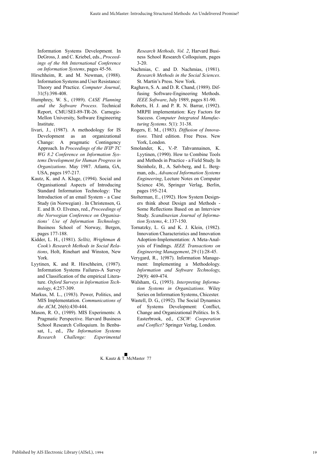Information Systems Development. In DeGross, J. and C. Kriebel, eds., *Proceedings of the 8th International Conference on Information Systems*, pages 45-56.

- Hirschheim, R. and M. Newman, (1988). Information Systems and User Resistance: Theory and Practice. *Computer Journal*, 31(5):398-408.
- Humphrey, W. S., (1989). *CASE Planning and the Software Process*. Technical Report, CMU/SEI-89-TR-26. Carnegie-Mellon University, Software Engineering Institute.
- Iivari, J., (1987). A methodology for IS Development as an organizational Change: A pragmatic Contingency Approach. In *Proceedings of the IFIP TC WG 8.2 Conference on Information Systems Development for Human Progress in Organizations*. May 1987. Atlanta, GA, USA, pages 197-217.
- Kautz, K. and A. Kluge, (1994). Social and Organisational Aspects of Introducing Standard Information Technology: The Introduction of an email System - a Case Study (in Norwegian) . In Christensen, G. E. and B. O. Elvenes, red., *Proceedings of the Norwegian Conference on Organisations' Use of Information Technology.* Business School of Norway, Bergen, pages 177-188.
- Kidder, L. H., (1981). *Selltiz, Wrightman & Cook's Research Methods in Social Relations*, Holt, Rinehart and Winston, New York.
- Lyytinen, K. and R. Hirschheim, (1987). Information Systems Failures-A Survey and Classification of the empirical Literature. *Oxford Surveys in Information Technology*, 4:257-309.
- Markus, M. L., (1983). Power, Politics, and MIS Implementation. *Communications of the ACM*, 26(6):430-444.
- Mason, R. O., (1989). MIS Experiments: A Pragmatic Perspective. Harvard Business School Research Colloquium. In Benbasat, I., ed., *The Information Systems Research Challenge: Experimental*

*Research Methods, Vol. 2*, Harvard Business School Research Colloquium, pages 3-20.

- Nachmias, C. and D. Nachmias, (1981). *Research Methods in the Social Sciences*. St. Martin's Press. New York.
- Raghavn, S. A. and D. R. Chand, (1989). Diffusing Software-Engineering Methods. *IEEE Software*, July 1989, pages 81-90.
- Roberts, H. J. and P. R. N. Barrar, (1992). MRPII implementation: Key Factors for Success. *Computer Integrated Manufacturing Systems*. 5(1): 31-38.
- Rogers, E. M., (1983). *Diffusion of Innovations.* Third edition. Free Press. New York, London.
- Smolander, K., V.-P. Tahvannainen, K. Lyytinen, (1990). How to Combine Tools and Methods in Practice - a Field Study. In Steinholz, B., A. Sølvberg, and L. Bergman, eds., *Advanced Information Systems Engineering*, Lecture Notes on Computer Science 436, Springer Verlag, Berlin, pages 195-214.
- Stolterman, E., (1992). How System Designers think about Design and Methods - Some Reflections Based on an Interview Study. *Scandinavian Journal of Information Systems*, 4:.137-150.
- Tornatzky, L. G. and K. J. Klein, (1982). Innovation Characteristics and Innovation Adoption-Implementation: A Meta-Analysis of Findings. *IEEE Transactions on Engineering Management*, 29 (1):28-45.
- Verygard, R., 1(987). Information Management: Implementing a Methodology. *Information and Software Technology*, 29(9): 469-474.
- Walsham, G., (1993). *Interpreting Information Systems in Organizations.* Wiley Series on Information Systems, Chicester.
- Wastell, D. G., (1992). The Social Dynamics of Systems Development: Conflict, Change and Organizational Politics. In S. Easterbrook, ed., *CSCW: Cooperation and Conflict?* Springer Verlag, London.